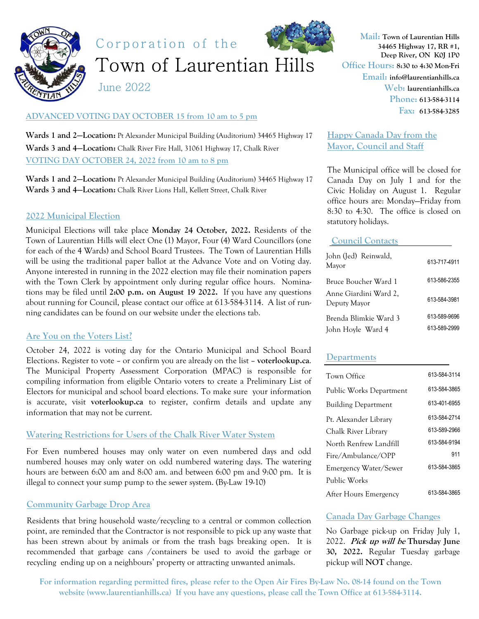

Corporation of the



Town of Laurentian Hills

June 2022

# **ADVANCED VOTING DAY OCTOBER 15 from 10 am to 5 pm**

**Wards 1 and 2—Location:** Pt Alexander Municipal Building (Auditorium) 34465 Highway 17 **Wards 3 and 4—Location:** Chalk River Fire Hall, 31061 Highway 17, Chalk River **VOTING DAY OCTOBER 24, 2022 from 10 am to 8 pm** 

**Wards 1 and 2—Location:** Pt Alexander Municipal Building (Auditorium) 34465 Highway 17 **Wards 3 and 4—Location:** Chalk River Lions Hall, Kellett Street, Chalk River

# **2022 Municipal Election**

Municipal Elections will take place **Monday 24 October, 2022.** Residents of the Town of Laurentian Hills will elect One (1) Mayor, Four (4) Ward Councillors (one for each of the 4 Wards) and School Board Trustees. The Town of Laurentian Hills will be using the traditional paper ballot at the Advance Vote and on Voting day. Anyone interested in running in the 2022 election may file their nomination papers with the Town Clerk by appointment only during regular office hours. Nominations may be filed until **2:00 p.m. on August 19 2022.** If you have any questions about running for Council, please contact our office at 613-584-3114. A list of running candidates can be found on our website under the elections tab.

## **Are You on the Voters List?**

October 24, 2022 is voting day for the Ontario Municipal and School Board Elections. Register to vote – or confirm you are already on the list – **voterlookup.ca**. The Municipal Property Assessment Corporation (MPAC) is responsible for compiling information from eligible Ontario voters to create a Preliminary List of Electors for municipal and school board elections. To make sure your information is accurate, visit **voterlookup.ca** to register, confirm details and update any information that may not be current.

## **Watering Restrictions for Users of the Chalk River Water System**

For Even numbered houses may only water on even numbered days and odd numbered houses may only water on odd numbered watering days. The watering hours are between 6:00 am and 8:00 am. and between 6:00 pm and 9:00 pm. It is illegal to connect your sump pump to the sewer system. (By-Law 19-10)

## **Community Garbage Drop Area**

Residents that bring household waste/recycling to a central or common collection point, are reminded that the Contractor is not responsible to pick up any waste that has been strewn about by animals or from the trash bags breaking open. It is recommended that garbage cans /containers be used to avoid the garbage or recycling ending up on a neighbours' property or attracting unwanted animals.

**Mail: Town of Laurentian Hills 34465 Highway 17, RR #1, Deep River, ON K0J 1P0 Office Hours: 8:30 to 4:30 Mon-Fri Email: info@laurentianhills.ca Web: laurentianhills.ca Phone: 613-584-3114 Fax: 613-584-3285** 

**Happy Canada Day from the Mayor, Council and Staff** 

The Municipal office will be closed for Canada Day on July 1 and for the Civic Holiday on August 1. Regular office hours are: Monday—Friday from 8:30 to 4:30. The office is closed on statutory holidays.

### **Council Contacts**

| John (Jed) Reinwald,<br>Mayor         | 613-717-4911 |
|---------------------------------------|--------------|
| Bruce Boucher Ward 1                  | 613-586-2355 |
| Anne Giardini Ward 2,<br>Deputy Mayor | 613-584-3981 |
| Brenda Blimkie Ward 3                 | 613-589-9696 |
| John Hoyle Ward 4                     | 613-589-2999 |

## **Departments**

| Town Office                | 613-584-3114 |
|----------------------------|--------------|
| Public Works Department    | 613-584-3865 |
| <b>Building Department</b> | 613-401-6955 |
| Pt. Alexander Library      | 613-584-2714 |
| Chalk River Library        | 613-589-2966 |
| North Renfrew Landfill     | 613-584-9194 |
| Fire/Ambulance/OPP         | 911          |
| Emergency Water/Sewer      | 613-584-3865 |
| Public Works               |              |
| After Hours Emergency      | 613-584-3865 |

### **Canada Day Garbage Changes**

No Garbage pick-up on Friday July 1, 2022. **Pick up will be Thursday June 30, 2022.** Regular Tuesday garbage pickup will **NOT** change.

**For information regarding permitted fires, please refer to the Open Air Fires By-Law No. 08-14 found on the Town website (www.laurentianhills.ca) If you have any questions, please call the Town Office at 613-584-3114.**